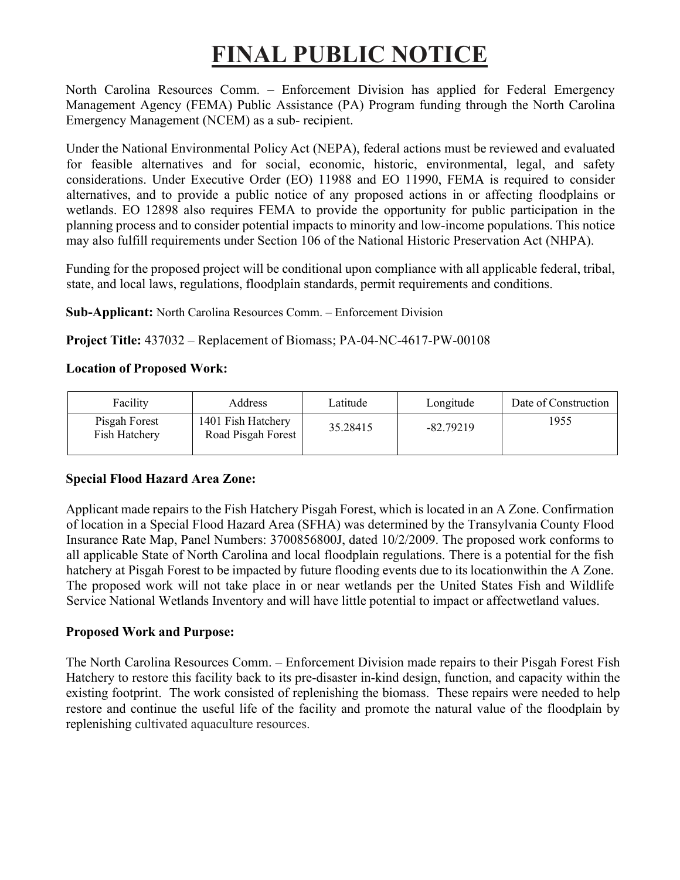# **FINAL PUBLIC NOTICE**

North Carolina Resources Comm. – Enforcement Division has applied for Federal Emergency Management Agency (FEMA) Public Assistance (PA) Program funding through the North Carolina Emergency Management (NCEM) as a sub- recipient.

Under the National Environmental Policy Act (NEPA), federal actions must be reviewed and evaluated for feasible alternatives and for social, economic, historic, environmental, legal, and safety considerations. Under Executive Order (EO) 11988 and EO 11990, FEMA is required to consider alternatives, and to provide a public notice of any proposed actions in or affecting floodplains or wetlands. EO 12898 also requires FEMA to provide the opportunity for public participation in the planning process and to consider potential impacts to minority and low-income populations. This notice may also fulfill requirements under Section 106 of the National Historic Preservation Act (NHPA).

Funding for the proposed project will be conditional upon compliance with all applicable federal, tribal, state, and local laws, regulations, floodplain standards, permit requirements and conditions.

**Sub-Applicant:** North Carolina Resources Comm. – Enforcement Division

**Project Title:** 437032 – Replacement of Biomass; PA-04-NC-4617-PW-00108

### **Location of Proposed Work:**

| Facility                       | Address                                  | Latitude | Longitude   | Date of Construction |
|--------------------------------|------------------------------------------|----------|-------------|----------------------|
| Pisgah Forest<br>Fish Hatchery | 1401 Fish Hatchery<br>Road Pisgah Forest | 35.28415 | $-82.79219$ | 1955                 |

# **Special Flood Hazard Area Zone:**

Applicant made repairs to the Fish Hatchery Pisgah Forest, which is located in an A Zone. Confirmation of location in a Special Flood Hazard Area (SFHA) was determined by the Transylvania County Flood Insurance Rate Map, Panel Numbers: 3700856800J, dated 10/2/2009. The proposed work conforms to all applicable State of North Carolina and local floodplain regulations. There is a potential for the fish hatchery at Pisgah Forest to be impacted by future flooding events due to its locationwithin the A Zone. The proposed work will not take place in or near wetlands per the United States Fish and Wildlife Service National Wetlands Inventory and will have little potential to impact or affectwetland values.

# **Proposed Work and Purpose:**

The North Carolina Resources Comm. – Enforcement Division made repairs to their Pisgah Forest Fish Hatchery to restore this facility back to its pre-disaster in-kind design, function, and capacity within the existing footprint. The work consisted of replenishing the biomass. These repairs were needed to help restore and continue the useful life of the facility and promote the natural value of the floodplain by replenishing cultivated aquaculture resources.